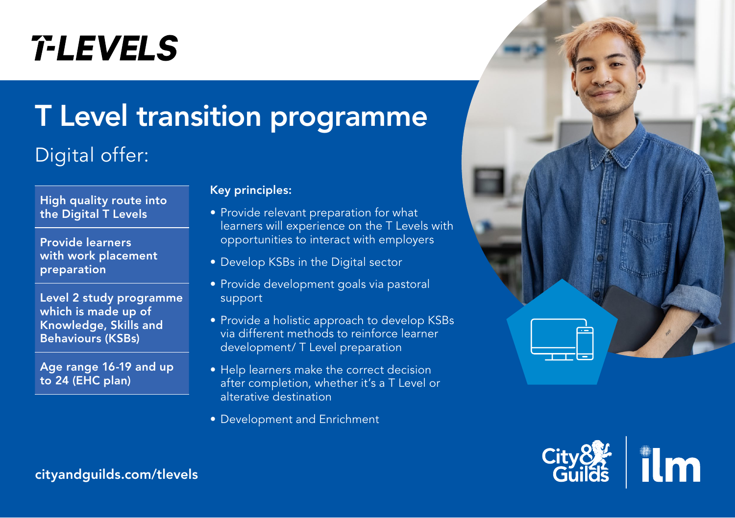# **T-LEVELS**

## T Level transition programme

### Digital offer:



Provide learners with work placement preparation

Level 2 study programme which is made up of Knowledge, Skills and Behaviours (KSBs)

Age range 16-19 and up to 24 (EHC plan)

#### Key principles:

- Provide relevant preparation for what learners will experience on the T Levels with opportunities to interact with employers
- Develop KSBs in the Digital sector
- Provide development goals via pastoral support
- Provide a holistic approach to develop KSBs via different methods to reinforce learner development/ T Level preparation
- Help learners make the correct decision after completion, whether it's a T Level or alterative destination
- Development and Enrichment





[cityandguilds.com/tlevels](https://www.cityandguilds.com/tlevels)